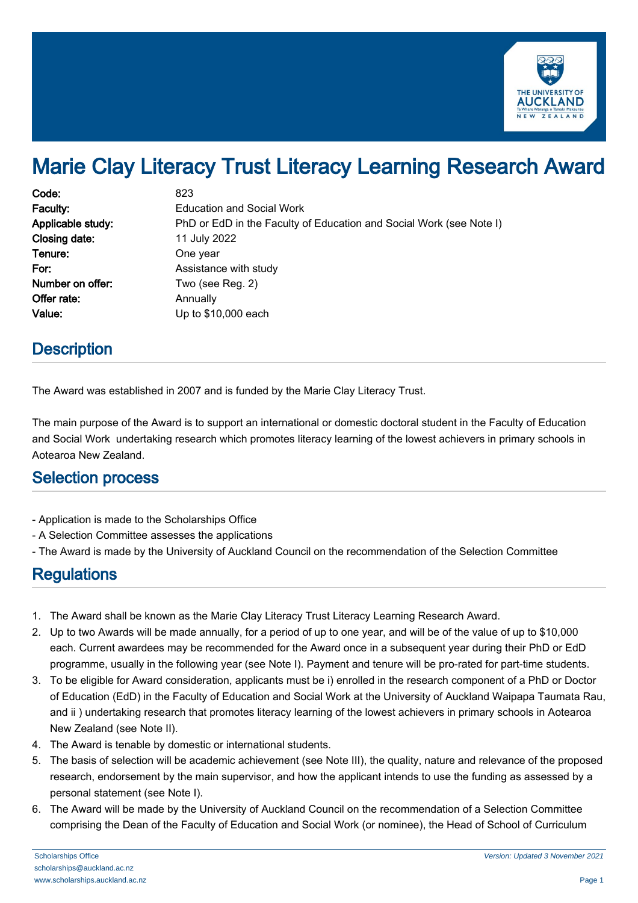

# Marie Clay Literacy Trust Literacy Learning Research Award

| Code:             | 823                                                                 |
|-------------------|---------------------------------------------------------------------|
| Faculty:          | <b>Education and Social Work</b>                                    |
| Applicable study: | PhD or EdD in the Faculty of Education and Social Work (see Note I) |
| Closing date:     | 11 July 2022                                                        |
| Tenure:           | One year                                                            |
| For:              | Assistance with study                                               |
| Number on offer:  | Two (see Reg. 2)                                                    |
| Offer rate:       | Annually                                                            |
| Value:            | Up to \$10,000 each                                                 |

### **Description**

The Award was established in 2007 and is funded by the Marie Clay Literacy Trust.

The main purpose of the Award is to support an international or domestic doctoral student in the Faculty of Education and Social Work undertaking research which promotes literacy learning of the lowest achievers in primary schools in Aotearoa New Zealand.

#### Selection process

- Application is made to the Scholarships Office
- A Selection Committee assesses the applications
- The Award is made by the University of Auckland Council on the recommendation of the Selection Committee

# **Regulations**

- 1. The Award shall be known as the Marie Clay Literacy Trust Literacy Learning Research Award.
- 2. Up to two Awards will be made annually, for a period of up to one year, and will be of the value of up to \$10,000 each. Current awardees may be recommended for the Award once in a subsequent year during their PhD or EdD programme, usually in the following year (see Note I). Payment and tenure will be pro-rated for part-time students.
- 3. To be eligible for Award consideration, applicants must be i) enrolled in the research component of a PhD or Doctor of Education (EdD) in the Faculty of Education and Social Work at the University of Auckland Waipapa Taumata Rau, and ii ) undertaking research that promotes literacy learning of the lowest achievers in primary schools in Aotearoa New Zealand (see Note II).
- 4. The Award is tenable by domestic or international students.
- 5. The basis of selection will be academic achievement (see Note III), the quality, nature and relevance of the proposed research, endorsement by the main supervisor, and how the applicant intends to use the funding as assessed by a personal statement (see Note I).
- 6. The Award will be made by the University of Auckland Council on the recommendation of a Selection Committee comprising the Dean of the Faculty of Education and Social Work (or nominee), the Head of School of Curriculum